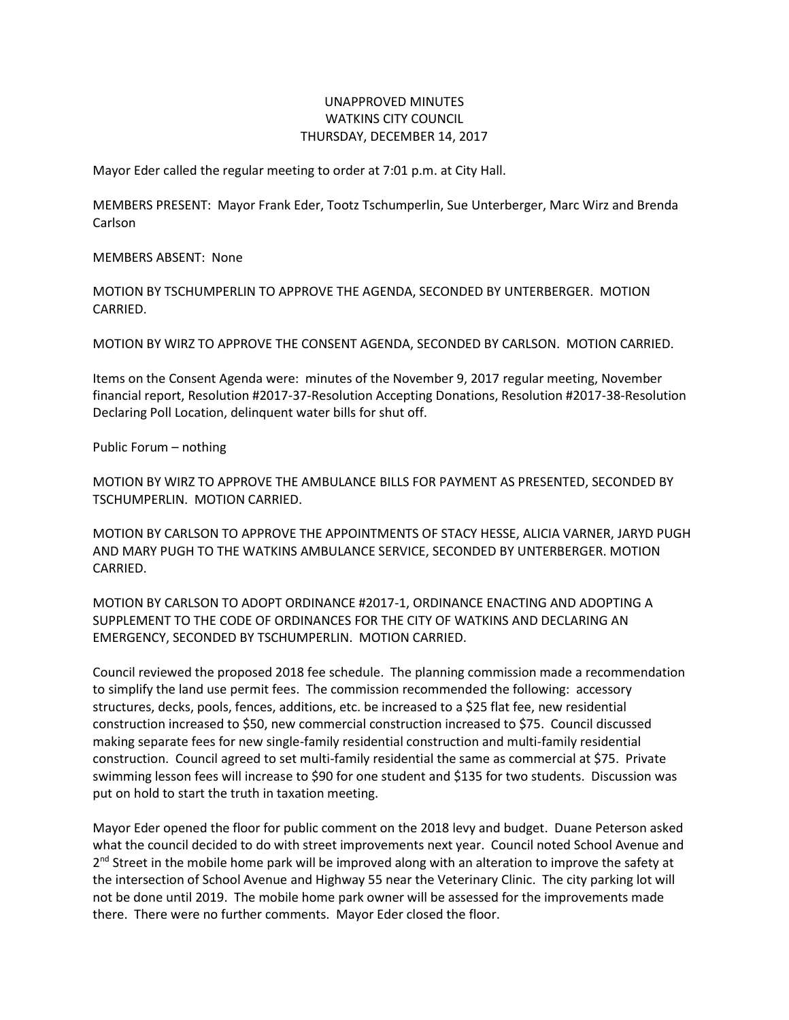## UNAPPROVED MINUTES WATKINS CITY COUNCIL THURSDAY, DECEMBER 14, 2017

Mayor Eder called the regular meeting to order at 7:01 p.m. at City Hall.

MEMBERS PRESENT: Mayor Frank Eder, Tootz Tschumperlin, Sue Unterberger, Marc Wirz and Brenda Carlson

MEMBERS ABSENT: None

MOTION BY TSCHUMPERLIN TO APPROVE THE AGENDA, SECONDED BY UNTERBERGER. MOTION CARRIED.

MOTION BY WIRZ TO APPROVE THE CONSENT AGENDA, SECONDED BY CARLSON. MOTION CARRIED.

Items on the Consent Agenda were: minutes of the November 9, 2017 regular meeting, November financial report, Resolution #2017-37-Resolution Accepting Donations, Resolution #2017-38-Resolution Declaring Poll Location, delinquent water bills for shut off.

Public Forum – nothing

MOTION BY WIRZ TO APPROVE THE AMBULANCE BILLS FOR PAYMENT AS PRESENTED, SECONDED BY TSCHUMPERLIN. MOTION CARRIED.

MOTION BY CARLSON TO APPROVE THE APPOINTMENTS OF STACY HESSE, ALICIA VARNER, JARYD PUGH AND MARY PUGH TO THE WATKINS AMBULANCE SERVICE, SECONDED BY UNTERBERGER. MOTION CARRIED.

MOTION BY CARLSON TO ADOPT ORDINANCE #2017-1, ORDINANCE ENACTING AND ADOPTING A SUPPLEMENT TO THE CODE OF ORDINANCES FOR THE CITY OF WATKINS AND DECLARING AN EMERGENCY, SECONDED BY TSCHUMPERLIN. MOTION CARRIED.

Council reviewed the proposed 2018 fee schedule. The planning commission made a recommendation to simplify the land use permit fees. The commission recommended the following: accessory structures, decks, pools, fences, additions, etc. be increased to a \$25 flat fee, new residential construction increased to \$50, new commercial construction increased to \$75. Council discussed making separate fees for new single-family residential construction and multi-family residential construction. Council agreed to set multi-family residential the same as commercial at \$75. Private swimming lesson fees will increase to \$90 for one student and \$135 for two students. Discussion was put on hold to start the truth in taxation meeting.

Mayor Eder opened the floor for public comment on the 2018 levy and budget. Duane Peterson asked what the council decided to do with street improvements next year. Council noted School Avenue and 2<sup>nd</sup> Street in the mobile home park will be improved along with an alteration to improve the safety at the intersection of School Avenue and Highway 55 near the Veterinary Clinic. The city parking lot will not be done until 2019. The mobile home park owner will be assessed for the improvements made there. There were no further comments. Mayor Eder closed the floor.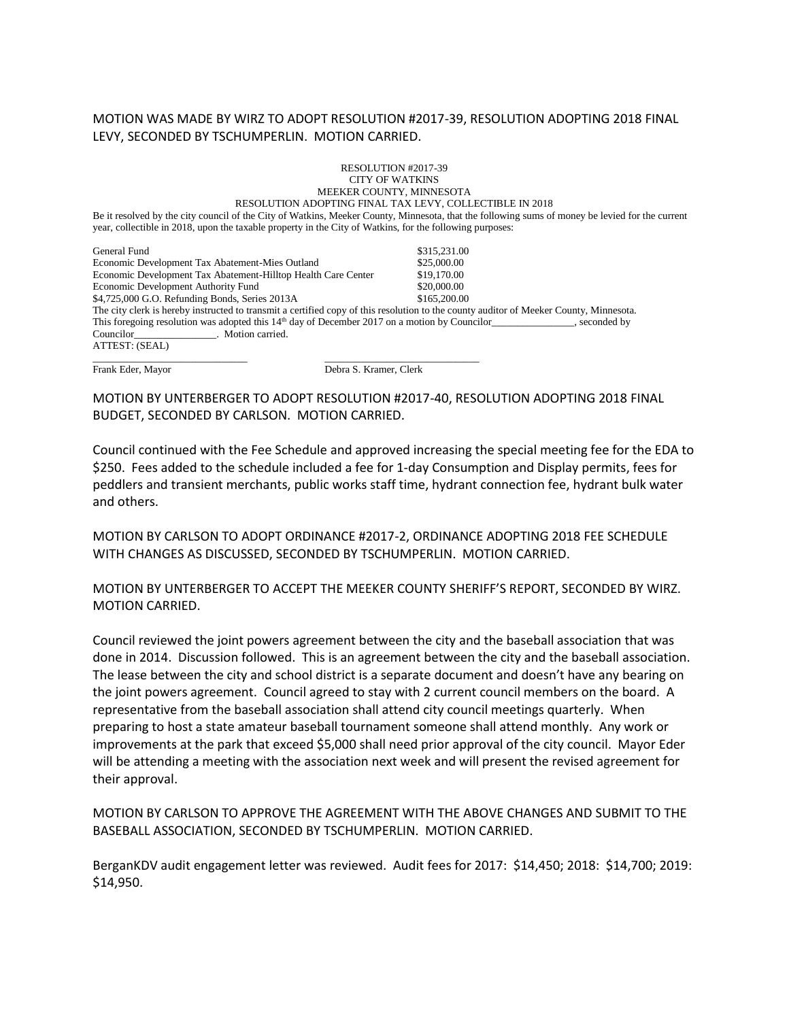## MOTION WAS MADE BY WIRZ TO ADOPT RESOLUTION #2017-39, RESOLUTION ADOPTING 2018 FINAL LEVY, SECONDED BY TSCHUMPERLIN. MOTION CARRIED.

## RESOLUTION #2017-39 CITY OF WATKINS MEEKER COUNTY, MINNESOTA RESOLUTION ADOPTING FINAL TAX LEVY, COLLECTIBLE IN 2018

Be it resolved by the city council of the City of Watkins, Meeker County, Minnesota, that the following sums of money be levied for the current year, collectible in 2018, upon the taxable property in the City of Watkins, for the following purposes:

| General Fund                                                                                                                           | \$315,231.00 |
|----------------------------------------------------------------------------------------------------------------------------------------|--------------|
| Economic Development Tax Abatement-Mies Outland                                                                                        | \$25,000.00  |
| Economic Development Tax Abatement-Hilltop Health Care Center                                                                          | \$19,170.00  |
| Economic Development Authority Fund                                                                                                    | \$20,000.00  |
| \$4,725,000 G.O. Refunding Bonds, Series 2013A                                                                                         | \$165,200.00 |
| The city clerk is hereby instructed to transmit a certified copy of this resolution to the county auditor of Meeker County, Minnesota. |              |
| This foregoing resolution was adopted this $14th$ day of December 2017 on a motion by Councilor<br>seconded by                         |              |
| Councilor Motion carried.                                                                                                              |              |
| ATTEST: (SEAL)                                                                                                                         |              |
|                                                                                                                                        |              |

Frank Eder, Mayor Debra S. Kramer, Clerk

MOTION BY UNTERBERGER TO ADOPT RESOLUTION #2017-40, RESOLUTION ADOPTING 2018 FINAL BUDGET, SECONDED BY CARLSON. MOTION CARRIED.

Council continued with the Fee Schedule and approved increasing the special meeting fee for the EDA to \$250. Fees added to the schedule included a fee for 1-day Consumption and Display permits, fees for peddlers and transient merchants, public works staff time, hydrant connection fee, hydrant bulk water and others.

MOTION BY CARLSON TO ADOPT ORDINANCE #2017-2, ORDINANCE ADOPTING 2018 FEE SCHEDULE WITH CHANGES AS DISCUSSED, SECONDED BY TSCHUMPERLIN. MOTION CARRIED.

MOTION BY UNTERBERGER TO ACCEPT THE MEEKER COUNTY SHERIFF'S REPORT, SECONDED BY WIRZ. MOTION CARRIED.

Council reviewed the joint powers agreement between the city and the baseball association that was done in 2014. Discussion followed. This is an agreement between the city and the baseball association. The lease between the city and school district is a separate document and doesn't have any bearing on the joint powers agreement. Council agreed to stay with 2 current council members on the board. A representative from the baseball association shall attend city council meetings quarterly. When preparing to host a state amateur baseball tournament someone shall attend monthly. Any work or improvements at the park that exceed \$5,000 shall need prior approval of the city council. Mayor Eder will be attending a meeting with the association next week and will present the revised agreement for their approval.

MOTION BY CARLSON TO APPROVE THE AGREEMENT WITH THE ABOVE CHANGES AND SUBMIT TO THE BASEBALL ASSOCIATION, SECONDED BY TSCHUMPERLIN. MOTION CARRIED.

BerganKDV audit engagement letter was reviewed. Audit fees for 2017: \$14,450; 2018: \$14,700; 2019: \$14,950.